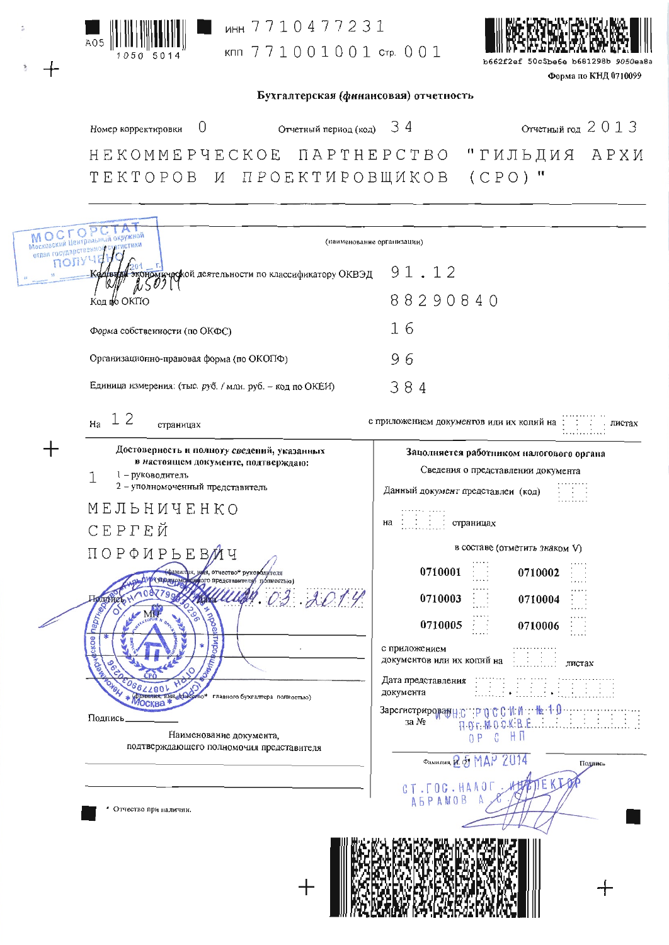

инн 7710477231 кпп 771001001 стр. 001



50c5be6e b681298b Форма по КНД 0710099

| Бухгалтерская (финансовая) отчетность |  |
|---------------------------------------|--|

Отчетный год 2013 34 Номер корректировки 0 Отчетный период (код) HEKOMMEPYECKOE NAPTHEPCTBO "ГИЛЬДИЯ АРХИ  $(CPO)$  " ТЕКТОРОВ И ПРОЕКТИРОВЩИКОВ MOCTO  $\circ$ (наименование организации) пол)  $91.12$ .<br>чаской деятельности по классификатору ОКВЭД 88290840 Код **ф** ОКПО  $16$ Форма собственности (по ОКФС) Организационно-правовая форма (по ОКОПФ) 96 Единица измерения: (тыс. руб. / млн. руб. - код по ОКЕИ) 384 12 с приложением документов или их копий на Ha пистах страницах ╅ Достоверность и полноту сведений, указанных Заполняется работником налогового органа в настоящем документе, подтверждаю: Сведения о представлении документа 1 - руководитель 1 2 - уполномоченный представитель Данный документ представлен (код) МЕЛЬНИЧЕНКО страницах на СЕРГЕЙ в составе (отметить знаком V) ПОРФИРЬЕВ Ч 0710001 0710002  $AD14$ 0710003 0710004 0710005 0710006 с приложением документов или их копий на листах Дата представления документа  $\begin{array}{c} \textbf{3aperrorpropap} \\ \textbf{3a} \ \textbf{N}_2 \end{array} \begin{array}{c} \textbf{3aperrorpropap} \\ \textbf{3a} \ \textbf{N}_2 \end{array} \begin{array}{c} \textbf{3a} \\ \textbf{3b} \end{array} \begin{array}{c} \textbf{3a} \\ \textbf{3b} \end{array} \begin{array}{c} \textbf{3a} \\ \textbf{3b} \end{array} \begin{array}{c} \textbf{3a} \\ \textbf{3b} \end{array} \begin{array}{c} \textbf{3a} \\ \textbf{3b} \end{array} \begin{array}{c} \text$  $\frac{1}{2}$  1.0 Подпись Наименование документа, OP C HI подтверждающего полномочия представителя Фальвлид 251 МДР 2014 Поддинсь TEKI CT. FOG. HAAOF **AEPAMOB** Отчество при наличии.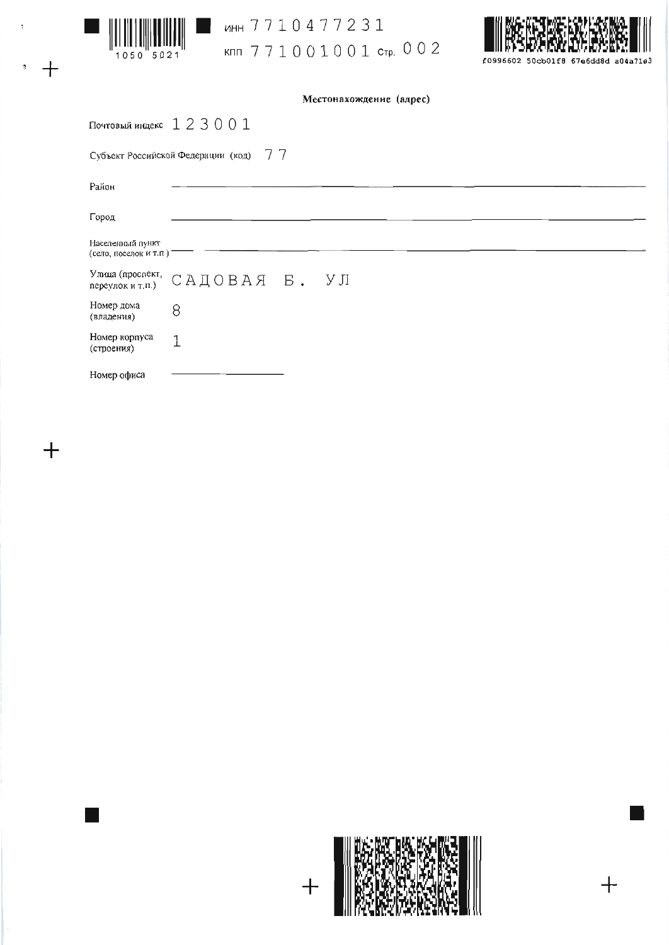

 $+$ 

 $+$ 

ţ

WHH 7710477231 кпп 771001001 стр. 002



Местонахождение (адрес)

|                                           | Почтовый индекс $1\ 2\ 3\ 0\ 0\ 1$    |
|-------------------------------------------|---------------------------------------|
|                                           | Субъект Российской Федерации (код) 77 |
| Район                                     |                                       |
| Город                                     |                                       |
| Населенный пункт<br>(село, поселок и т.п) |                                       |
|                                           | Улица (прослект, САДОВАЯ Б. УЛ        |
| Номер дома<br>(владения)                  | 8                                     |
| Номер корпуса<br>(строения)               | 1                                     |
| Номер офиса                               |                                       |



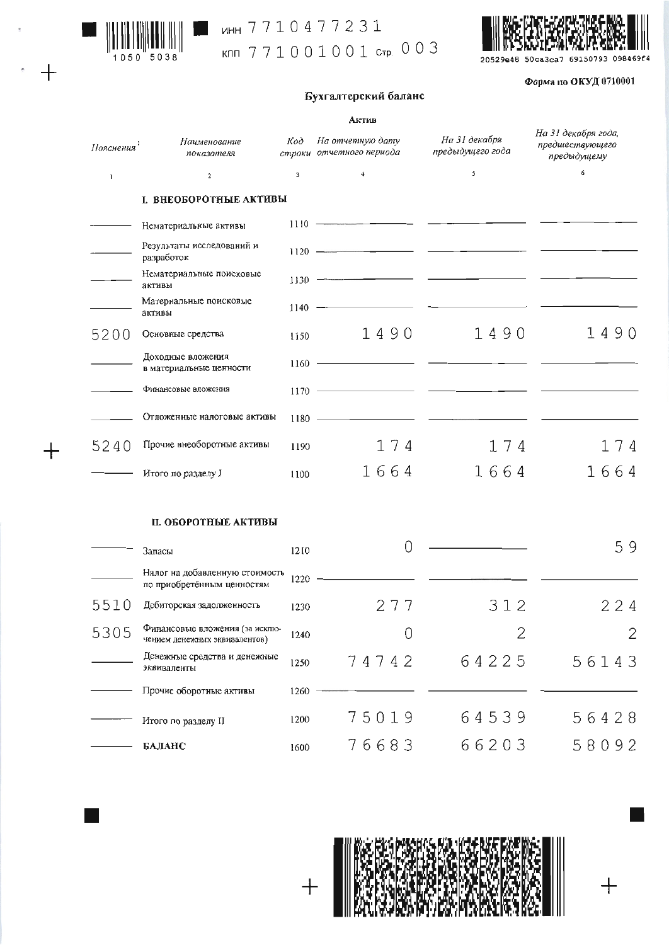

 $\overline{+}$ 

 $+$ 

## MHH 7710477231

клл 771001001 стр. 003



#### Форма по ОКУД 0710001

### Бухгалтерский баланс

|                        |                                                                 |      | Актив                                        |                                   |                                                       |
|------------------------|-----------------------------------------------------------------|------|----------------------------------------------|-----------------------------------|-------------------------------------------------------|
| Пояснения <sup>1</sup> | Наименование<br>показателя                                      | Код  | На отчетную дату<br>строки отчетного периода | На 31 декабря<br>предыдущего года | На 31 декабря года,<br>предшествующего<br>предыдущему |
| $\mathbf{I}$           | $\mathbf{2}$                                                    | 3    | $\overline{4}$                               | 5                                 | 6                                                     |
|                        | І. ВНЕОБОРОТНЫЕ АКТИВЫ                                          |      |                                              |                                   |                                                       |
|                        | Нематериальные активы                                           |      | $1110$ $\longrightarrow$                     |                                   |                                                       |
|                        | Результаты исследований и<br>разработок                         |      |                                              |                                   |                                                       |
|                        | Нематериальные поисковые<br>активы                              |      |                                              |                                   |                                                       |
|                        | Материальные поисковые<br>активы                                |      | $1140$ - $-$                                 |                                   |                                                       |
| 5200                   | Основные средства                                               | 1150 | 1490                                         | 1490                              | 1490                                                  |
|                        | Доходные вложения<br>в материальные ценности                    |      |                                              |                                   |                                                       |
|                        | Финансовые вложения                                             |      | $1170$ $\longrightarrow$                     |                                   |                                                       |
|                        | Отложенные налоговые активы                                     |      |                                              |                                   |                                                       |
| 5240                   | Прочие внеоборотные активы                                      | 1190 | 174                                          | 174                               | 174                                                   |
|                        | Итого по разделу I                                              | 1100 | 1664                                         | 1664                              | 1664                                                  |
|                        | П. ОБОРОТНЫЕ АКТИВЫ                                             |      |                                              |                                   |                                                       |
|                        | Запасы                                                          | 1210 | 0                                            |                                   | 59                                                    |
|                        | Налог на добавленную стоимость<br>по приобретённым ценностям    | 1220 |                                              |                                   |                                                       |
| 5510                   | Дебиторская задолженность                                       | 1230 | 277                                          | 312                               | 224                                                   |
| 5305                   | Финансовые вложения (за исклю-<br>чением денежных эквивалентов) | 1240 | 0                                            | 2                                 | 2                                                     |
|                        | Денежные средства и денежные<br>эквиваленты                     | 1250 | 74742                                        | 64225                             | 56143                                                 |
|                        | Прочие оборотные активы                                         | 1260 |                                              |                                   |                                                       |
|                        | Итого по разделу II                                             | 1200 | 75019                                        | 64539                             | 56428                                                 |
|                        | БАЛАНС                                                          | 1600 | 76683                                        | 66203                             | 58092                                                 |

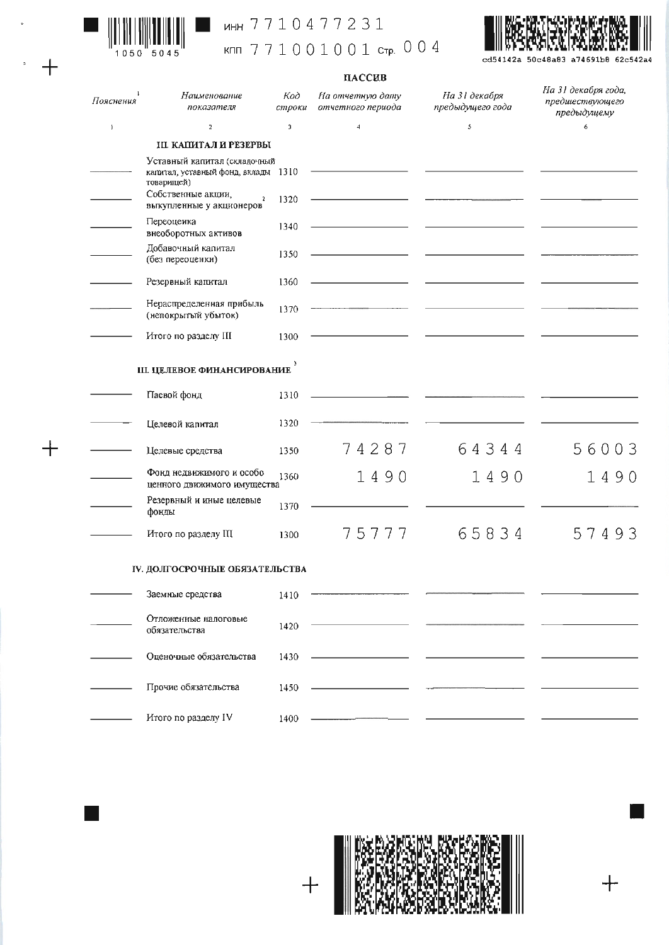

 $\ddot{\phantom{0}}$ 

 $+$ 

 $+$ 

### MHH 7710477231

кпп 771001001 стр. 004



cd54142a 50c48a83 a74691b8 62c542a4

### пассив

| Пояснения | Наименование<br>показателя                                                        | Код<br>строки           | На отчетную дату<br>отчетного периода | На 31 декабря<br>предыдущего года | На 31 декабря года,<br>предшествующего<br>предыдущему |
|-----------|-----------------------------------------------------------------------------------|-------------------------|---------------------------------------|-----------------------------------|-------------------------------------------------------|
| J.        | $\overline{2}$                                                                    | $\overline{\mathbf{3}}$ | $\overline{4}$                        | 5                                 | 6                                                     |
|           | ІІІ. КАПИТАЛ Й РЕЗЕРВЫ                                                            |                         |                                       |                                   |                                                       |
|           | Уставный капитал (складочный<br>капитал, уставный фонд, вклады 1310<br>товарищей) |                         |                                       |                                   |                                                       |
|           | Собственные акции,<br>$\sqrt{2}$<br>выкупленные у акционеров                      | 1320                    |                                       |                                   |                                                       |
|           | Переоценка<br>внеоборотных активов                                                | 1340                    |                                       |                                   |                                                       |
|           | Добавочный капитал<br>(без переоценки)                                            | 1350                    |                                       |                                   |                                                       |
|           | Резервный капитал                                                                 | 1360                    |                                       |                                   |                                                       |
|           | Нераспределенная прибыль<br>(непокрытый убыток)                                   | 1370                    |                                       |                                   |                                                       |
|           | Итого по разделу III                                                              | 1300                    |                                       |                                   |                                                       |
|           | Ш. ЦЕЛЕВОЕ ФИНАНСИРОВАНИЕ                                                         |                         |                                       |                                   |                                                       |
|           | Паевой фонд                                                                       | 1310                    |                                       |                                   |                                                       |
|           | Целевой капитал                                                                   | 1320                    |                                       |                                   |                                                       |
|           | Целевые средства                                                                  | 1350                    | 74287                                 | 64344                             | 56003                                                 |
|           | Фонд недвижимого и особо<br>ценного движимого имущества                           | 1360                    | 1490                                  | 1490                              | 1490                                                  |
|           | Резервный и иные целевые<br>фонды                                                 | 1370                    |                                       |                                   |                                                       |
|           | Итого по разделу III                                                              | 1300                    | 75777                                 | 65834                             | 57493                                                 |
|           | ІУ. ДОЛГОСРОЧНЫЕ ОБЯЗАТЕЛЬСТВА                                                    |                         |                                       |                                   |                                                       |
|           | Заемные средства                                                                  | 1410                    |                                       |                                   |                                                       |
|           | Отложенные налоговые<br>обязательства                                             | 1420                    |                                       |                                   |                                                       |
|           | Оценочные обязательства                                                           | 1430                    |                                       |                                   |                                                       |
|           | Прочие обязательства                                                              | 1450                    |                                       |                                   |                                                       |
|           | Итого по разделу IV                                                               | 1400                    |                                       |                                   |                                                       |



 $+$ 

 $+$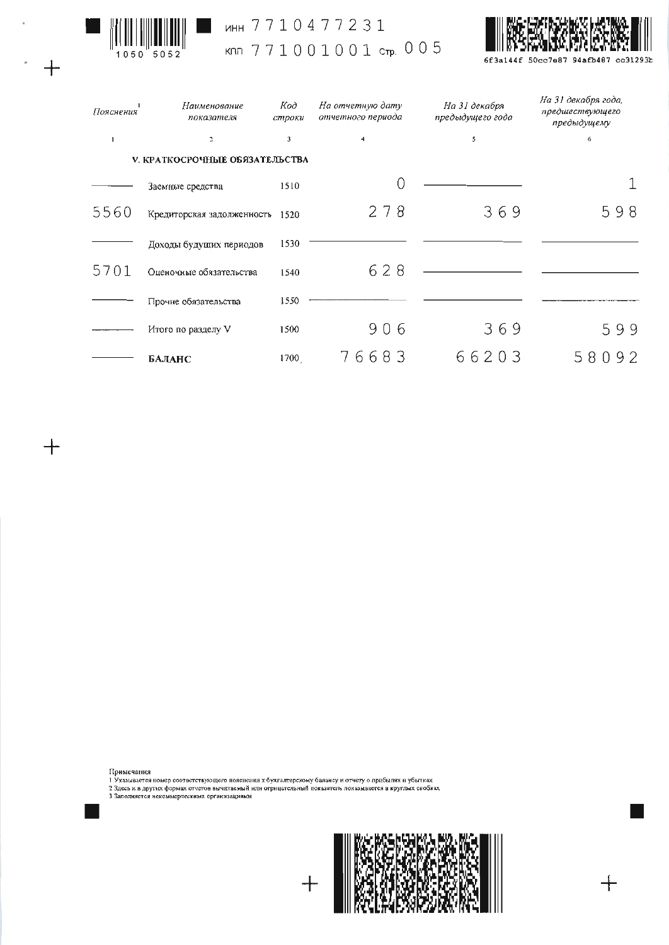

 $\hat{\lambda}$ 

 $+$ 

 $+$ 

## MHH 7710477231 клл 771001001 стр. 005



6f3a144f 50cc7e87 94afb487 cc31293b

| Пояснения | Наименование<br>показателя            | Код<br>строки           | На отчетную дату<br>отчетного периода | На 31 декабря<br>предыдущего года | На 31 декабря года,<br>предшествующего<br>предыдущему |
|-----------|---------------------------------------|-------------------------|---------------------------------------|-----------------------------------|-------------------------------------------------------|
|           | $\overline{z}$                        | $\overline{\mathbf{3}}$ | 4                                     | 5                                 | 6                                                     |
|           | <b>V. КРАТКОСРОЧНЫЕ ОБЯЗАТЕЛЬСТВА</b> |                         |                                       |                                   |                                                       |
|           | Заемные средства                      | 1510                    |                                       |                                   |                                                       |
| 5560      | Кредиторская задолженность            | 1520                    | 278                                   | 369                               | 598                                                   |
|           | Доходы будущих периодов               | 1530                    |                                       |                                   |                                                       |
| 5701      | Оценочные обязательства               | 1540                    | 628                                   |                                   |                                                       |
|           | Прочие обязательства                  | 1550                    |                                       |                                   |                                                       |
|           | Итого по разделу V                    | 1500                    | 906                                   | 369                               | 599                                                   |
|           | БАЛАНС                                | 1700                    | 76683                                 | 66203                             | 580<br>92                                             |

Примечания<br>1 Указывается номер соответствующего пояснения к бухгалтерскому балансу и отчету о прабылях и убытках<br>2 Здесь и в других формах отчетов вычатаемый или отрицательный покваятель показывается в круглых скобках<br>3 З

 $\frac{1}{2}$ 

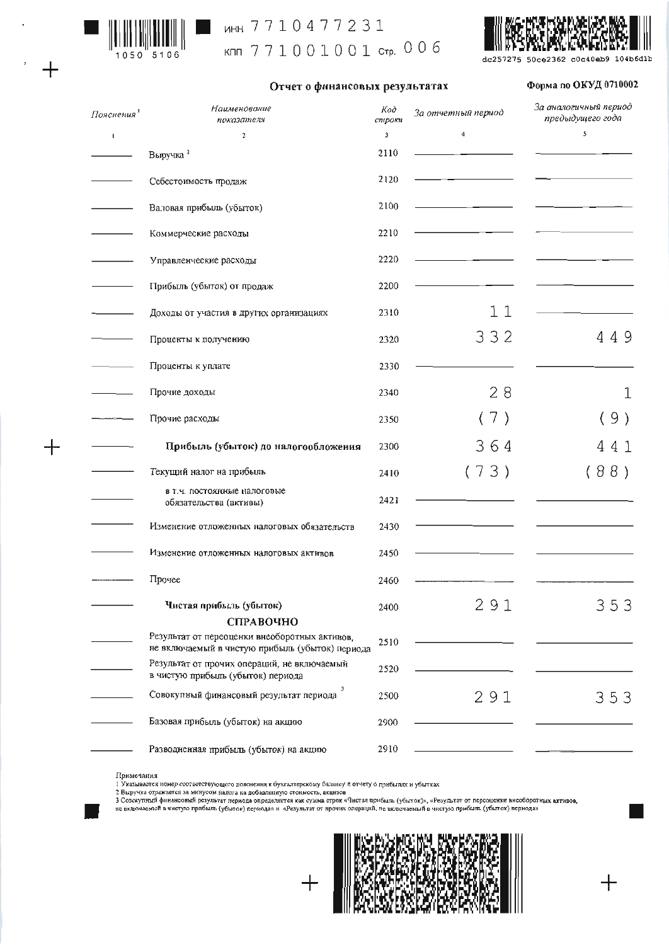

 $\overline{+}$ 

┽

### MH 7710477231

кпп 771001001 стр. 006



Форма по ОКУД 0710002

#### Отчет о финансовых результатах

| Пояснения <sup>1</sup> | Наименование<br>показателя                                                                       | Код<br>строки | За отчетный период | За аналогичный период<br>предыдущего года |  |
|------------------------|--------------------------------------------------------------------------------------------------|---------------|--------------------|-------------------------------------------|--|
| $\overline{1}$         | $\overline{\mathbf{2}}$                                                                          | 3             | 4                  | \$                                        |  |
|                        | Выручка <sup>2</sup>                                                                             | 2110          |                    |                                           |  |
|                        | Себестоимость продаж                                                                             | 2120          |                    |                                           |  |
|                        | Валовая прибыль (убыток)                                                                         | 2100          |                    |                                           |  |
|                        | Коммерческие расходы                                                                             | 2210          |                    |                                           |  |
|                        | Управленческие расходы                                                                           | 2220          |                    |                                           |  |
|                        | Прибыль (убыток) от продаж                                                                       | 2200          |                    |                                           |  |
|                        | Доходы от участия в других организациях                                                          | 2310          | 11                 |                                           |  |
|                        | Проценты к получению                                                                             | 2320          | 332                | 449                                       |  |
|                        | Проценты к уплате                                                                                | 2330          |                    |                                           |  |
|                        | Прочие доходы                                                                                    | 2340          | 28                 | 1                                         |  |
|                        | Прочие расходы                                                                                   | 2350          | 7)                 | 9)                                        |  |
|                        | Прибыль (убыток) до налогообложения                                                              | 2300          | 364                | 41<br>4                                   |  |
|                        | Текущий налог на прибыль                                                                         | 2410          | (73)               | (88)                                      |  |
|                        | в т.ч. постоянные налоговые<br>обязательства (активы)                                            | 2421          |                    |                                           |  |
|                        | Изменение отложенных налоговых обязательств                                                      | 2430          |                    |                                           |  |
|                        | Изменение отложенных налоговых активов                                                           | 2450          |                    |                                           |  |
|                        | Прочее                                                                                           | 2460          |                    |                                           |  |
|                        | Чистая прибыль (убыток)                                                                          | 2400          | 291                | 353                                       |  |
|                        | СПРАВОЧНО                                                                                        |               |                    |                                           |  |
|                        | Результат от переоценки внеоборотных активов,<br>не включаемый в чистую прибыль (убыток) периода | 2510          |                    |                                           |  |
|                        | Результат от прочих операций, не включаемый<br>в чистую прибыль (убыток) периода                 | 2520          |                    |                                           |  |
|                        | Совокупный финансовый результат периода                                                          | 2500          | 291                | 353                                       |  |
|                        | Базовая прибыль (убыток) на акцию                                                                | 2900          |                    |                                           |  |
|                        | Разводненная прибыль (убыток) на акцию                                                           | 2910          |                    |                                           |  |

#### Примечания

примечания<br>1 Указывается номер соответствующего пояснения к бухгыттерскому баланду и отчету о прибылях и убытках<br>2 Быручка отражается за минусом налога на добавленную стоимость, вкцизов<br>3 Совокупный финансовый результат п



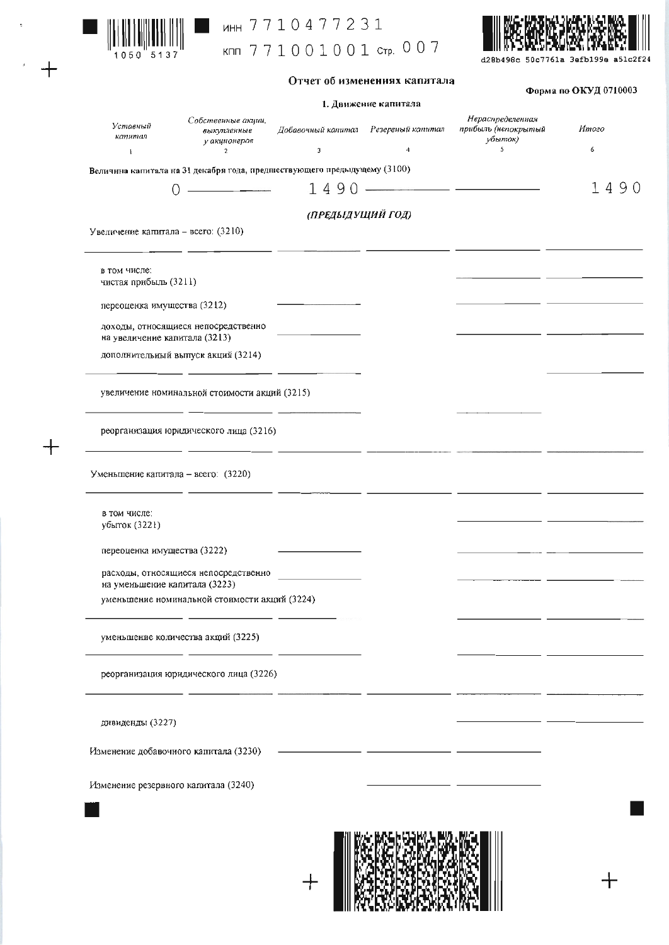

 $\ddot{}$ 

 $+$ 

# инн 7710477231

кпп 771001001 стр. 007



#### Отчет об изменениях капитала

 $\Delta$ <sub>22112</sub>  $\alpha$ <sub>2</sub>  $\Delta$ <sup>1</sup><sup> $\Delta$ </sup><sub>1</sub> $\beta$ <sub>1</sub> $\alpha$ <sup>2</sup><sub>1</sub> $\alpha$ <sup>2</sup>

|                                                                                                                        |                                                   |                                                                                                                                                                                                                                      | 1. Движение капитала |                                                    | $\mathbf \Psi$ up $\mathbf m$ in $\mathbf \Psi$ of $\mathbf \Psi$ $\mathbf \Psi$ is a set of $\mathbf \Psi$ |  |  |
|------------------------------------------------------------------------------------------------------------------------|---------------------------------------------------|--------------------------------------------------------------------------------------------------------------------------------------------------------------------------------------------------------------------------------------|----------------------|----------------------------------------------------|-------------------------------------------------------------------------------------------------------------|--|--|
| Уставный<br>капитал                                                                                                    | Собственные акции,<br>выкупленные<br>у акционеров | Добавочный капитал Резервный капитал                                                                                                                                                                                                 |                      | Нераспределенная<br>прибыль (непокрытый<br>убыток) | Итого                                                                                                       |  |  |
| $\mathbf{1}$                                                                                                           | $\mathbf{2}$                                      | $\mathbf{3}$                                                                                                                                                                                                                         | $\overline{4}$       | 5                                                  | 6                                                                                                           |  |  |
| Величина капитала на 31 декабря года, предпиствующего предыдущему (3100)                                               |                                                   |                                                                                                                                                                                                                                      |                      |                                                    |                                                                                                             |  |  |
|                                                                                                                        | <u> 1980 - Jan Sarah Barat, masjid a</u>          |                                                                                                                                                                                                                                      |                      | $1490$ ——————————————                              | 1490                                                                                                        |  |  |
|                                                                                                                        |                                                   | (ПРЕДЫДУЩИЙ ГОД)                                                                                                                                                                                                                     |                      |                                                    |                                                                                                             |  |  |
| Увеличение капитала - всего: (3210)                                                                                    |                                                   |                                                                                                                                                                                                                                      |                      |                                                    |                                                                                                             |  |  |
| в том числе:<br>чистая прибыль (3211)                                                                                  |                                                   |                                                                                                                                                                                                                                      |                      |                                                    |                                                                                                             |  |  |
| переоценка имущества (3212)                                                                                            |                                                   |                                                                                                                                                                                                                                      |                      |                                                    |                                                                                                             |  |  |
| доходы, относящиеся непосредственно<br>на увеличение капитала (3213)                                                   |                                                   |                                                                                                                                                                                                                                      |                      |                                                    | the contract of the contract of the contract of                                                             |  |  |
| дополнительный выпуск акций (3214)                                                                                     |                                                   |                                                                                                                                                                                                                                      |                      |                                                    |                                                                                                             |  |  |
| увеличение номинальной стоимости акций (3215)                                                                          |                                                   |                                                                                                                                                                                                                                      |                      |                                                    |                                                                                                             |  |  |
| реорганизация юридического лица (3216)                                                                                 |                                                   |                                                                                                                                                                                                                                      |                      |                                                    |                                                                                                             |  |  |
| Уменьшение капитала - всего: (3220)                                                                                    |                                                   | <u> 1989 - John Harry John Harry Harry Harry Harry Harry Harry Harry Harry Harry Harry Harry Harry Harry Harry Harry Harry Harry Harry Harry Harry Harry Harry Harry Harry Harry Harry Harry Harry Harry Harry Harry Harry Harry</u> |                      |                                                    |                                                                                                             |  |  |
| в том числе:<br>убыток (3221)                                                                                          |                                                   |                                                                                                                                                                                                                                      |                      |                                                    |                                                                                                             |  |  |
| переоценка имущества (3222)                                                                                            |                                                   |                                                                                                                                                                                                                                      |                      |                                                    |                                                                                                             |  |  |
| расходы, относящиеся непосредственно<br>на уменьшение капитала (3223)<br>уменьшение номинальной стоимости акций (3224) |                                                   |                                                                                                                                                                                                                                      |                      |                                                    |                                                                                                             |  |  |
| уменьшение количества акций (3225)                                                                                     |                                                   |                                                                                                                                                                                                                                      |                      |                                                    |                                                                                                             |  |  |
| реорганизация юридического лица (3226)                                                                                 |                                                   |                                                                                                                                                                                                                                      |                      |                                                    |                                                                                                             |  |  |
| дивиденды (3227)                                                                                                       |                                                   |                                                                                                                                                                                                                                      |                      |                                                    |                                                                                                             |  |  |
| Изменение добавочного капитала (3230)                                                                                  |                                                   |                                                                                                                                                                                                                                      |                      |                                                    |                                                                                                             |  |  |
| Изменение резервного капитала (3240)                                                                                   |                                                   |                                                                                                                                                                                                                                      |                      |                                                    |                                                                                                             |  |  |
|                                                                                                                        |                                                   |                                                                                                                                                                                                                                      |                      |                                                    |                                                                                                             |  |  |
|                                                                                                                        |                                                   |                                                                                                                                                                                                                                      |                      |                                                    |                                                                                                             |  |  |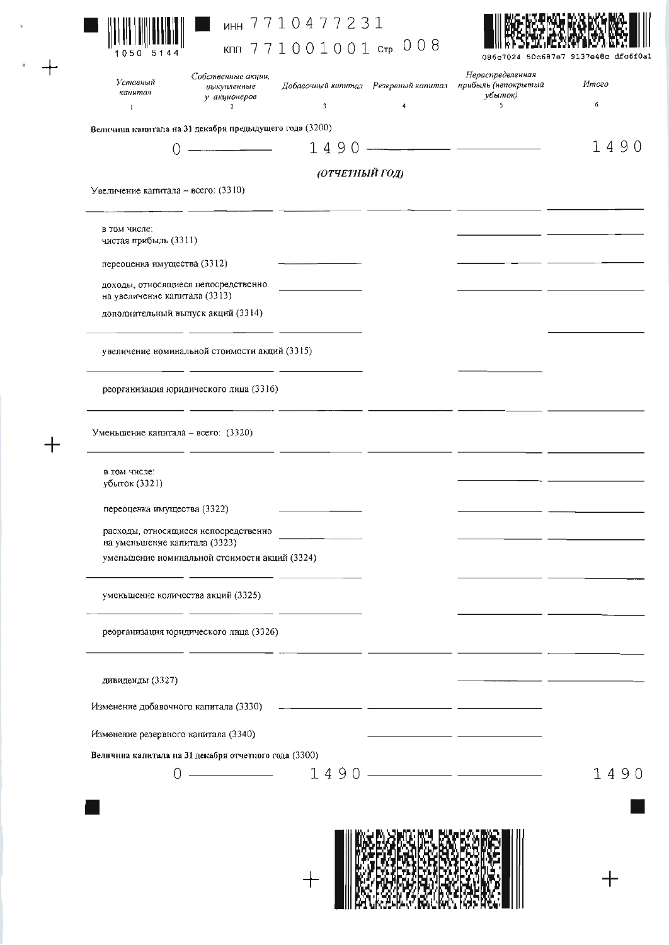

 $+$ 

 $+$ 

## MHH 7710477231 кпп 771001001 стр. 008



| Уставный<br>капитал<br>J.                                            | Собственные акции,<br>выкупленные<br>у акционеров<br>$\overline{c}$ | Добавочный капитал Резервный капитал<br>3                                                                                                                                                                                            | $\overline{4}$ | Нераспределенная<br>прибыль (непокрытый<br>ұбыток)<br>S.                                                              | Итого<br>6 |
|----------------------------------------------------------------------|---------------------------------------------------------------------|--------------------------------------------------------------------------------------------------------------------------------------------------------------------------------------------------------------------------------------|----------------|-----------------------------------------------------------------------------------------------------------------------|------------|
| Величина капитала на 31 декабря предыдущего года (3200)              |                                                                     |                                                                                                                                                                                                                                      |                |                                                                                                                       |            |
| 0                                                                    | $\overline{\phantom{a}}$                                            | 1490                                                                                                                                                                                                                                 |                |                                                                                                                       | 1490       |
|                                                                      |                                                                     | (ОТЧЕТНЫЙ ГОД)                                                                                                                                                                                                                       |                |                                                                                                                       |            |
| Увеличение капитала - всего: (3310)                                  |                                                                     |                                                                                                                                                                                                                                      |                |                                                                                                                       |            |
| в том числе:<br>чистая прибыль (3311)                                |                                                                     |                                                                                                                                                                                                                                      |                |                                                                                                                       |            |
| переоценка имущества (3312)                                          |                                                                     | <u> The Common Common Common Common Common Common Common Common Common Common Common Common Common Common Common Common Common Common Common Common Common Common Common Common Common Common Common Common Common Common Common</u> |                | _ _                                                                                                                   |            |
| доходы, относящиеся непосредственно<br>на увеличение капитала (3313) |                                                                     |                                                                                                                                                                                                                                      |                |                                                                                                                       |            |
| дополнительный выпуск акций (3314)                                   |                                                                     |                                                                                                                                                                                                                                      |                |                                                                                                                       |            |
|                                                                      | увеличение номинальной стоимости акций (3315)                       |                                                                                                                                                                                                                                      |                |                                                                                                                       |            |
|                                                                      | реорганизация юридического лица (3316)                              | <u> 1980 - John Barn Barn, mars ann an 1980 - Cathair Ann an C</u>                                                                                                                                                                   |                |                                                                                                                       |            |
| Уменьшение капитала - всего: (3320)                                  |                                                                     | <b>Contract Contract Contract Association</b>                                                                                                                                                                                        |                |                                                                                                                       |            |
| в том числе:<br>убыток (3321)                                        |                                                                     |                                                                                                                                                                                                                                      |                |                                                                                                                       |            |
| переоценка имущества (3322)                                          |                                                                     |                                                                                                                                                                                                                                      |                |                                                                                                                       |            |
| на уменьшение капитала (3323)                                        | расходы, относящиеся непосредственно                                |                                                                                                                                                                                                                                      |                |                                                                                                                       |            |
|                                                                      | уменьшение номинальной стоимости акций (3324)                       |                                                                                                                                                                                                                                      |                |                                                                                                                       |            |
| уменьшение количества акций (3325)                                   |                                                                     |                                                                                                                                                                                                                                      |                |                                                                                                                       |            |
|                                                                      | реорганизация юридического лица (3326)                              |                                                                                                                                                                                                                                      |                |                                                                                                                       |            |
| дивиденды (3327)                                                     |                                                                     |                                                                                                                                                                                                                                      |                |                                                                                                                       |            |
|                                                                      |                                                                     |                                                                                                                                                                                                                                      |                |                                                                                                                       |            |
| Изменение резервного капитала (3340)                                 |                                                                     |                                                                                                                                                                                                                                      |                | <u> 1989 - Johann Harry Harry Harry Harry Harry Harry Harry Harry Harry Harry Harry Harry Harry Harry Harry Harry</u> |            |
| Величина капитала на 31 декабря отчетного года (3300)                |                                                                     |                                                                                                                                                                                                                                      |                |                                                                                                                       |            |
| $\left( \right)$                                                     |                                                                     |                                                                                                                                                                                                                                      |                | $\frac{1490 - 1490 - 1490}{1490 - 1490 - 1490}$                                                                       | 1490       |
|                                                                      |                                                                     |                                                                                                                                                                                                                                      |                |                                                                                                                       |            |
|                                                                      |                                                                     |                                                                                                                                                                                                                                      |                |                                                                                                                       |            |
|                                                                      |                                                                     |                                                                                                                                                                                                                                      |                |                                                                                                                       |            |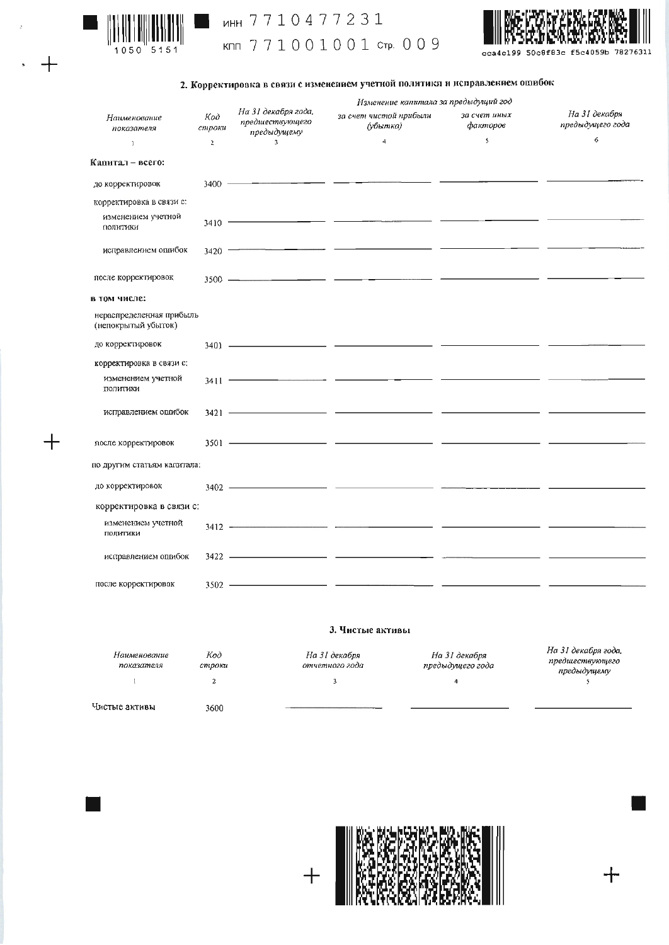

 $\overline{+}$ 

### MHH 7710477231 KNN 771001001 CTP. 009



#### 2. Корректировка в связи с изменением учетной политики и исправлением ошибок

|                                                 |                |                                                                                                                                                                                                                                                                                                                                                                                                                                                                                                                                          | Изменение капитала за предыдущий год |                          |                                   |
|-------------------------------------------------|----------------|------------------------------------------------------------------------------------------------------------------------------------------------------------------------------------------------------------------------------------------------------------------------------------------------------------------------------------------------------------------------------------------------------------------------------------------------------------------------------------------------------------------------------------------|--------------------------------------|--------------------------|-----------------------------------|
| Наименование<br>показателя                      | Код<br>строки  | На 31 декабря года,<br>предшествующего<br>предыдущему                                                                                                                                                                                                                                                                                                                                                                                                                                                                                    | за счет чистой прибыли<br>(убытка)   | за счет иных<br>факторов | На 31 декабря<br>предыдущего года |
| $\mathbf{I}$                                    | $\overline{a}$ | $\overline{\mathbf{3}}$                                                                                                                                                                                                                                                                                                                                                                                                                                                                                                                  | $\overline{4}$                       | \$                       | 6                                 |
| Капитал - всего:                                |                |                                                                                                                                                                                                                                                                                                                                                                                                                                                                                                                                          |                                      |                          |                                   |
| до корректировок                                |                | $\frac{3400 \text{ }}{\text{ }}\underline{\hspace{1.0cm}}\underline{\hspace{1.0cm}}\underline{\hspace{1.0cm}}\underline{\hspace{1.0cm}}\underline{\hspace{1.0cm}}\underline{\hspace{1.0cm}}\underline{\hspace{1.0cm}}\underline{\hspace{1.0cm}}\underline{\hspace{1.0cm}}\underline{\hspace{1.0cm}}\underline{\hspace{1.0cm}}\underline{\hspace{1.0cm}}\underline{\hspace{1.0cm}}\underline{\hspace{1.0cm}}\underline{\hspace{1.0cm}}\underline{\hspace{1.0cm}}\underline{\hspace{1.0cm}}\underline{\hspace{1.0cm}}\underline{\hspace{1$ |                                      |                          |                                   |
| корректировка в связи с:                        |                |                                                                                                                                                                                                                                                                                                                                                                                                                                                                                                                                          |                                      |                          |                                   |
| изменением учетной<br>политики                  |                |                                                                                                                                                                                                                                                                                                                                                                                                                                                                                                                                          |                                      |                          |                                   |
| исправлением ошибок                             |                |                                                                                                                                                                                                                                                                                                                                                                                                                                                                                                                                          |                                      |                          |                                   |
| после корректировок                             |                |                                                                                                                                                                                                                                                                                                                                                                                                                                                                                                                                          |                                      |                          |                                   |
| в том числе:                                    |                |                                                                                                                                                                                                                                                                                                                                                                                                                                                                                                                                          |                                      |                          |                                   |
| нераспределенная прибыль<br>(непокрытый убыток) |                |                                                                                                                                                                                                                                                                                                                                                                                                                                                                                                                                          |                                      |                          |                                   |
| до корректировок                                |                |                                                                                                                                                                                                                                                                                                                                                                                                                                                                                                                                          |                                      |                          |                                   |
| корректировка в связи с:                        |                |                                                                                                                                                                                                                                                                                                                                                                                                                                                                                                                                          |                                      |                          |                                   |
| изменением учетной<br>ПОЛИТИКИ                  |                |                                                                                                                                                                                                                                                                                                                                                                                                                                                                                                                                          |                                      |                          |                                   |
| исправлением опибок                             |                |                                                                                                                                                                                                                                                                                                                                                                                                                                                                                                                                          |                                      |                          |                                   |
| после корректировок                             |                |                                                                                                                                                                                                                                                                                                                                                                                                                                                                                                                                          |                                      |                          |                                   |
| по другим статьям капитала:                     |                |                                                                                                                                                                                                                                                                                                                                                                                                                                                                                                                                          |                                      |                          |                                   |
| до корректировок                                |                |                                                                                                                                                                                                                                                                                                                                                                                                                                                                                                                                          | $3402$ $\longrightarrow$             |                          |                                   |
| корректировка в связи с:                        |                |                                                                                                                                                                                                                                                                                                                                                                                                                                                                                                                                          |                                      |                          |                                   |
| изменением учетной<br>ПОЛИТИКИ                  |                |                                                                                                                                                                                                                                                                                                                                                                                                                                                                                                                                          |                                      |                          |                                   |
| исправлением опибок                             |                |                                                                                                                                                                                                                                                                                                                                                                                                                                                                                                                                          |                                      |                          |                                   |
| после корректировок                             |                |                                                                                                                                                                                                                                                                                                                                                                                                                                                                                                                                          |                                      |                          | _ _                               |

#### 3. Чистые активы

| Наименование<br>показателя | Код<br>строки | На 31 декабря<br>отчетного года | На 31 декабря<br>предыдущего года | На 31 декабря года<br>предшествующего<br>предыдущему |
|----------------------------|---------------|---------------------------------|-----------------------------------|------------------------------------------------------|
|                            |               |                                 |                                   |                                                      |
| Чистые активы              | 3600          |                                 |                                   |                                                      |



 $+$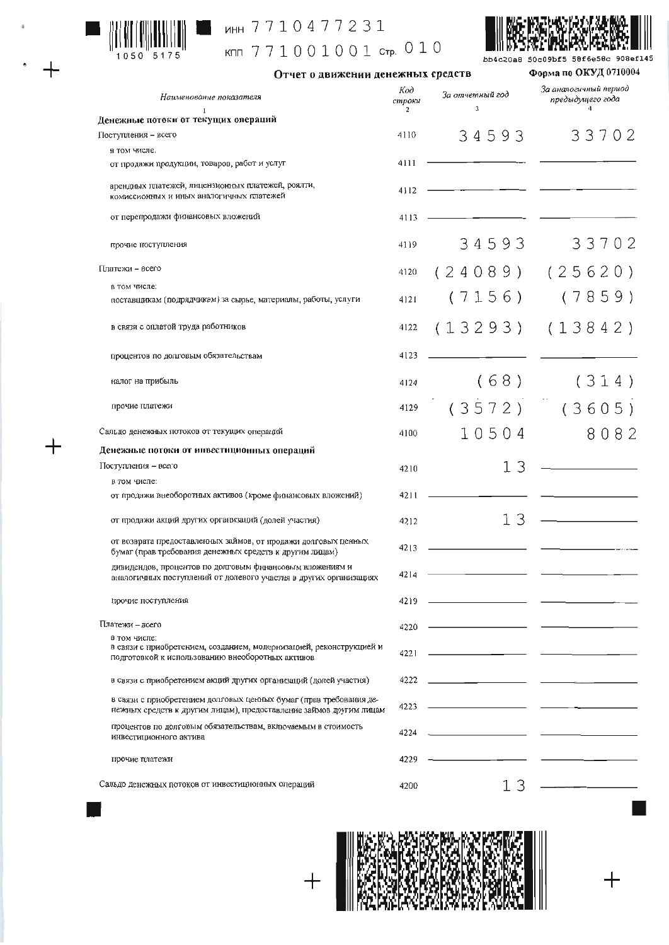

 $+$ 

 $+$ 

## инн 7710477231

кпп 771001001 стр. 010



Отчет о движении денежных средств

bb4c20a8 50c09bf5 58f6e58c 908ef145 Форма по ОКУД 0710004

| Наименование показателя                                                                                                                  | Код<br>строки<br>$\overline{2}$ | За отчетный год<br>3                                                                                                  | За аналогичный период<br>предыдущего года |
|------------------------------------------------------------------------------------------------------------------------------------------|---------------------------------|-----------------------------------------------------------------------------------------------------------------------|-------------------------------------------|
| -1<br>Денежные потоки от текущих операций                                                                                                |                                 |                                                                                                                       |                                           |
| Поступления - всего                                                                                                                      | 4110                            | 34593                                                                                                                 | 33702                                     |
| в том числе.                                                                                                                             |                                 |                                                                                                                       |                                           |
| от продажи продукции, товаров, работ и услуг                                                                                             | 4111                            |                                                                                                                       |                                           |
| арендных платежей, лицензионных платежей, роялти,<br>комиссионных и иных аналогичных платежей                                            | 4112                            |                                                                                                                       |                                           |
| от перепродажи финансовых вложений                                                                                                       | 4113                            |                                                                                                                       |                                           |
| прочие поступления                                                                                                                       | 4119                            | 34593                                                                                                                 | 33702                                     |
| [Ілатежи – всего                                                                                                                         | 4120                            | (24089)                                                                                                               | (25620)                                   |
| в том числе:                                                                                                                             |                                 |                                                                                                                       |                                           |
| поставщикам (подрядчикам) за сырье, материалы, работы, услуги                                                                            | 4121                            | (7156)                                                                                                                | (7859)                                    |
| в связи с оплатой труда работников                                                                                                       | 4122                            | (13293)                                                                                                               | (13842)                                   |
| процентов по долговым обязательствам                                                                                                     | 4123                            |                                                                                                                       |                                           |
| налог на прибыль                                                                                                                         | 4124                            | (68)                                                                                                                  | (314)                                     |
| прочие платежи                                                                                                                           | 4129                            | (3572)                                                                                                                | (3605)                                    |
| Сальдо денежных потоков от текущих операций                                                                                              | 4100                            | 10504                                                                                                                 | 8082                                      |
| Денежные потоки от инвестиционных операций                                                                                               |                                 |                                                                                                                       |                                           |
| Поступления - всего                                                                                                                      | 4210                            | 13                                                                                                                    |                                           |
| в том числе:                                                                                                                             |                                 |                                                                                                                       |                                           |
| от продажи внеоборотных активов (кроме финансовых вложений)                                                                              | 4211                            |                                                                                                                       |                                           |
| от продажи акций других организаций (долей участия)                                                                                      | 4212                            | 13                                                                                                                    |                                           |
| от возврата предоставленных займов, от продажи долговых ценных<br>бумаг (прав требования денежных средств к другим лицам)                | 4213                            |                                                                                                                       |                                           |
| дивидендов, процентов по долговым финансовым вложениям и<br>аналогичных поступлений от долевого участия в других организациях            | 4214                            |                                                                                                                       |                                           |
| прочие поступления                                                                                                                       | 4219                            |                                                                                                                       |                                           |
| Платежи - всего                                                                                                                          | 4220                            |                                                                                                                       |                                           |
| в том числе:<br>в связи с приобретением, созданием, модернизацией, реконструкцией и<br>подготовкой к использованию внеоборотных активов  | 4221                            |                                                                                                                       |                                           |
| в связи с приобретением акций других организаций (долей участия)                                                                         | 4222                            | <u> 1989 - Andrea Maria III, prima populație de la provincia de la provincia de la provincia de la provincia de l</u> |                                           |
| в связи с приобретением долговых ценных бумаг (прав требования де-<br>нежных средств к другим лицам), предоставление займов другим лицам | 4223                            |                                                                                                                       |                                           |
| процентов по долговым обязательствам, включаемым в стоимость<br>инвестиционного актива                                                   | 4224                            |                                                                                                                       |                                           |
| прочие платежи                                                                                                                           | 4229                            |                                                                                                                       |                                           |
| Сальдо денежных потоков от инвестиционных операций                                                                                       | 4200                            | 13                                                                                                                    |                                           |



 $\overline{+}$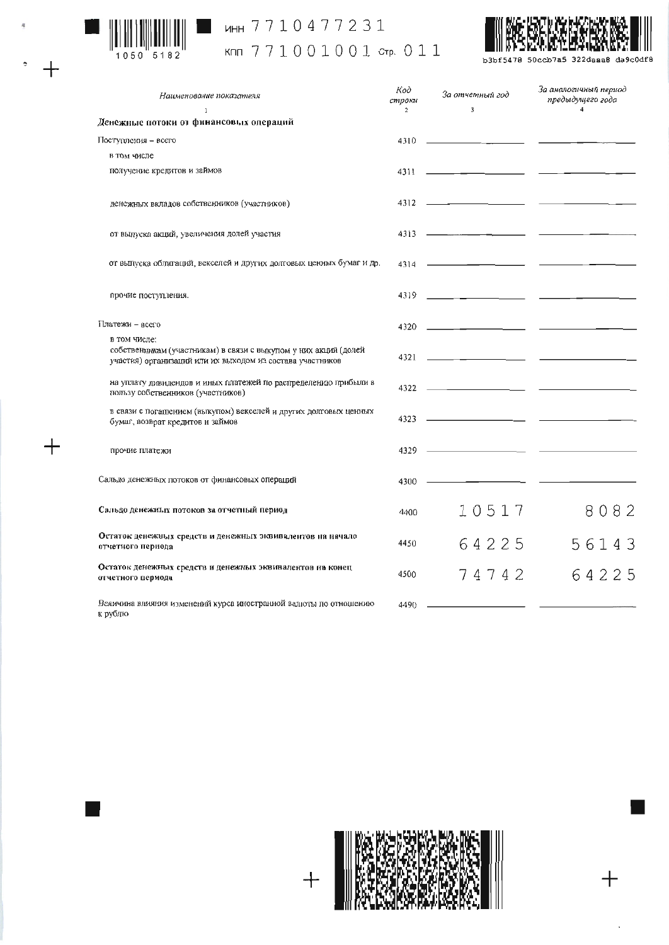

 $\ddot{+}$ 

 $+$ 

# инн 7710477231

## KNN 771001001 CTP. 011



b3bf5478 50ccb7a5 322daaa8 da9c0df8

| Наименование показателя                                                                                                                      | Код<br>строки<br>$\overline{c}$ | За отчетный год<br>3                                                                                                                                                                                                                                                                                          | За аналогичный период<br>предыдущего года<br>$\Delta$ |
|----------------------------------------------------------------------------------------------------------------------------------------------|---------------------------------|---------------------------------------------------------------------------------------------------------------------------------------------------------------------------------------------------------------------------------------------------------------------------------------------------------------|-------------------------------------------------------|
| 1<br>Денежные потоки от финансовых операций                                                                                                  |                                 |                                                                                                                                                                                                                                                                                                               |                                                       |
| Поступления - всего                                                                                                                          | 4310                            | <u> 1989 - Andrea Stein, Amerikaansk politiker (</u>                                                                                                                                                                                                                                                          |                                                       |
| в том числе                                                                                                                                  |                                 |                                                                                                                                                                                                                                                                                                               |                                                       |
| получение кредитов и займов                                                                                                                  |                                 | $4311$ $\frac{1}{21}$ $\frac{1}{21}$ $\frac{1}{21}$ $\frac{1}{21}$ $\frac{1}{21}$ $\frac{1}{21}$ $\frac{1}{21}$ $\frac{1}{21}$ $\frac{1}{21}$ $\frac{1}{21}$ $\frac{1}{21}$ $\frac{1}{21}$ $\frac{1}{21}$ $\frac{1}{21}$ $\frac{1}{21}$ $\frac{1}{21}$ $\frac{1}{21}$ $\frac{1}{21}$ $\frac{1}{21}$ $\frac{1$ |                                                       |
| денсжных вкладов собственников (участников)                                                                                                  |                                 |                                                                                                                                                                                                                                                                                                               |                                                       |
| от выпуска акций, увеличения долей участия                                                                                                   |                                 | $4313$ $\longrightarrow$                                                                                                                                                                                                                                                                                      | the contract of the contract of the con-              |
| от выпуска облигаций, векселей и других долговых ценных бумаг и др.                                                                          |                                 | $4314$ $\longrightarrow$                                                                                                                                                                                                                                                                                      |                                                       |
| прочие поступления.                                                                                                                          | 4319                            |                                                                                                                                                                                                                                                                                                               |                                                       |
| Платежи - всего                                                                                                                              |                                 |                                                                                                                                                                                                                                                                                                               |                                                       |
| в том числе:<br>собственникам (участникам) в связи с выкупом у них акций (долей<br>участия) организаций или их выходом из состава участников |                                 |                                                                                                                                                                                                                                                                                                               |                                                       |
| на уплату дивидендов и иных платежей по распределению прибыли в<br>пользу собственников (участников)                                         |                                 | $4322$ $\longrightarrow$                                                                                                                                                                                                                                                                                      |                                                       |
| в связи с погашением (выкупом) векселей и других долговых ценных<br>бумаг, возврат кредитов и займов                                         |                                 |                                                                                                                                                                                                                                                                                                               |                                                       |
| прочие платежи                                                                                                                               | 4329                            |                                                                                                                                                                                                                                                                                                               |                                                       |
| Сальдо денежных потоков от финансовых операций                                                                                               | 4300                            |                                                                                                                                                                                                                                                                                                               |                                                       |
| Сальдо денежных потоков за отчетный период                                                                                                   | 4400                            | 10517                                                                                                                                                                                                                                                                                                         | 8082                                                  |
| Остаток денежных средств и денежных эквивалентов на начало<br>отчетного периода                                                              | 4450                            | 64225                                                                                                                                                                                                                                                                                                         | 56143                                                 |
| Остаток денежных средств и денежных эквивалентов на конец<br>отчетного цериода                                                               | 4500                            | 74742                                                                                                                                                                                                                                                                                                         | 64225                                                 |
| Величина влияния изменений курса иностранной валюты по отношению<br>к рублю                                                                  | 4490                            |                                                                                                                                                                                                                                                                                                               |                                                       |



 $+$ 

 $\overline{\phantom{a}}$ 

 $+$